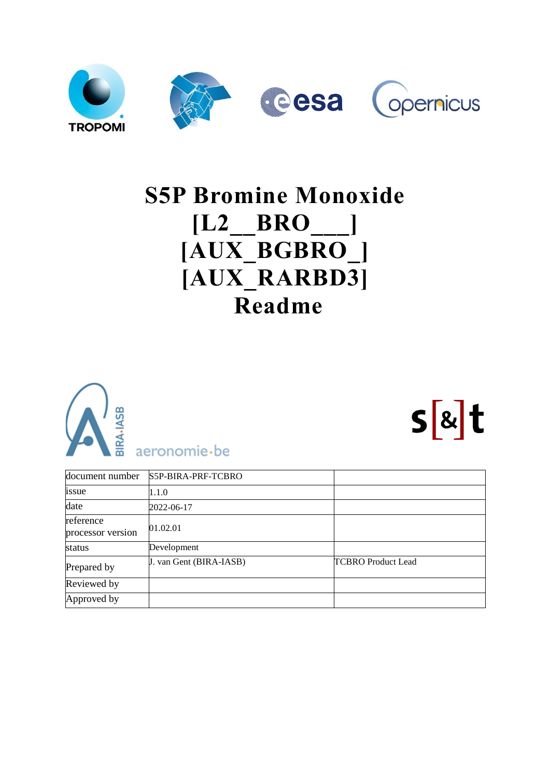

# **S5P Bromine Monoxide [L2\_\_BRO\_\_\_] [AUX\_BGBRO\_] [AUX\_RARBD3] Readme**



<span id="page-0-0"></span>

 $s$ <sub>&</sub>t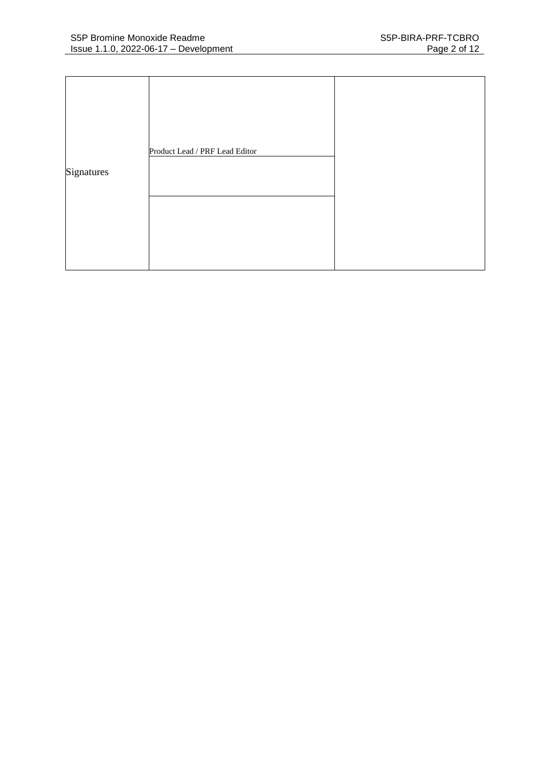|            | Product Lead / PRF Lead Editor |  |
|------------|--------------------------------|--|
| Signatures |                                |  |
|            |                                |  |
|            |                                |  |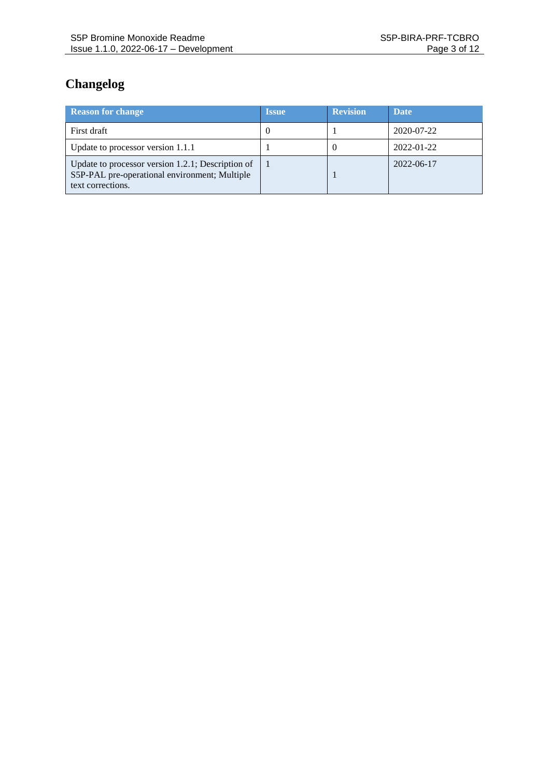# **Changelog**

| <b>Reason for change</b>                                                                                                | <b>Issue</b> | <b>Revision</b> | <b>Date</b> |
|-------------------------------------------------------------------------------------------------------------------------|--------------|-----------------|-------------|
| First draft                                                                                                             | 0            |                 | 2020-07-22  |
| Update to processor version 1.1.1                                                                                       |              | $\theta$        | 2022-01-22  |
| Update to processor version 1.2.1; Description of<br>S5P-PAL pre-operational environment; Multiple<br>text corrections. |              |                 | 2022-06-17  |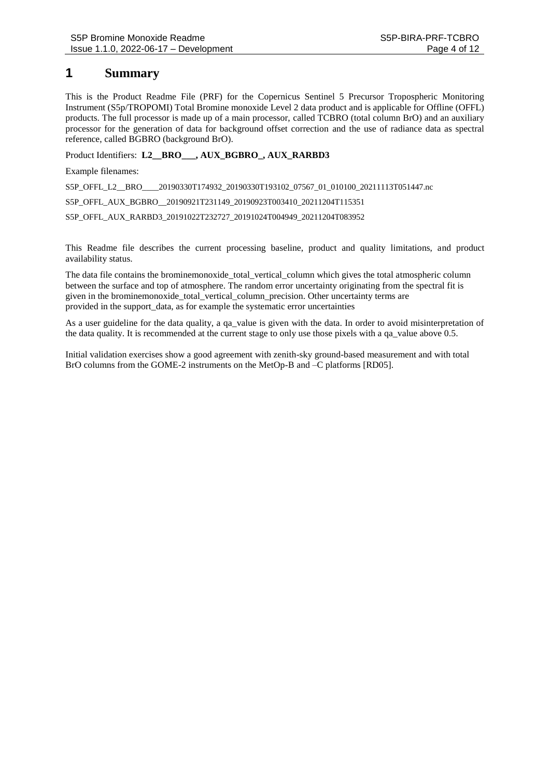### **1 Summary**

This is the Product Readme File (PRF) for the Copernicus Sentinel 5 Precursor Tropospheric Monitoring Instrument (S5p/TROPOMI) Total Bromine monoxide Level 2 data product and is applicable for Offline (OFFL) products. The full processor is made up of a main processor, called TCBRO (total column BrO) and an auxiliary processor for the generation of data for background offset correction and the use of radiance data as spectral reference, called BGBRO (background BrO).

Product Identifiers: **L2\_\_BRO\_\_\_, AUX\_BGBRO\_, AUX\_RARBD3**

Example filenames:

S5P\_OFFL\_L2\_BRO\_\_\_\_20190330T174932\_20190330T193102\_07567\_01\_010100\_20211113T051447.nc

S5P\_OFFL\_AUX\_BGBRO\_\_20190921T231149\_20190923T003410\_20211204T115351

S5P\_OFFL\_AUX\_RARBD3\_20191022T232727\_20191024T004949\_20211204T083952

This Readme file describes the current processing baseline, product and quality limitations, and product availability status.

The data file contains the brominemonoxide total vertical column which gives the total atmospheric column between the surface and top of atmosphere. The random error uncertainty originating from the spectral fit is given in the brominemonoxide\_total\_vertical\_column\_precision. Other uncertainty terms are provided in the support\_data, as for example the systematic error uncertainties

As a user guideline for the data quality, a qa\_value is given with the data. In order to avoid misinterpretation of the data quality. It is recommended at the current stage to only use those pixels with a qa\_value above 0.5.

Initial validation exercises show a good agreement with zenith-sky ground-based measurement and with total BrO columns from the GOME-2 instruments on the MetOp-B and –C platforms [\[RD05\].](#page-10-0)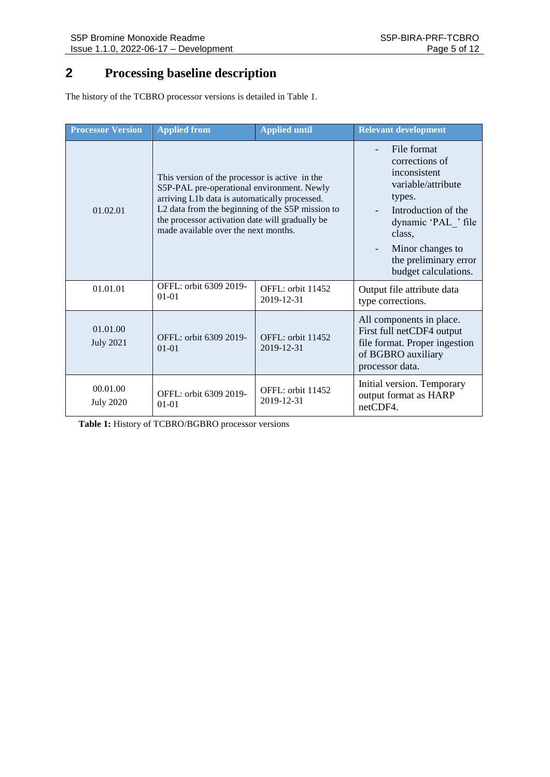# **2 Processing baseline description**

The history of the TCBRO processor versions is detailed in [Table 1.](#page-4-0)

| <b>Processor Version</b>     | <b>Applied from</b>                                                                                                                                                                                                                                                                          | <b>Applied until</b>            | <b>Relevant development</b>                                                                                                                                                                                                            |  |
|------------------------------|----------------------------------------------------------------------------------------------------------------------------------------------------------------------------------------------------------------------------------------------------------------------------------------------|---------------------------------|----------------------------------------------------------------------------------------------------------------------------------------------------------------------------------------------------------------------------------------|--|
| 01.02.01                     | This version of the processor is active in the<br>S5P-PAL pre-operational environment. Newly<br>arriving L1b data is automatically processed.<br>L2 data from the beginning of the S5P mission to<br>the processor activation date will gradually be<br>made available over the next months. |                                 | File format<br>corrections of<br>inconsistent<br>variable/attribute<br>types.<br>Introduction of the<br>dynamic 'PAL ' file<br>class.<br>Minor changes to<br>$\overline{\phantom{a}}$<br>the preliminary error<br>budget calculations. |  |
| 01.01.01                     | OFFL: orbit 6309 2019-<br>$01-01$                                                                                                                                                                                                                                                            | OFFL: orbit 11452<br>2019-12-31 | Output file attribute data<br>type corrections.                                                                                                                                                                                        |  |
| 01.01.00<br><b>July 2021</b> | OFFL: orbit 6309 2019-<br>$01 - 01$                                                                                                                                                                                                                                                          | OFFL: orbit 11452<br>2019-12-31 | All components in place.<br>First full netCDF4 output<br>file format. Proper ingestion<br>of BGBRO auxiliary<br>processor data.                                                                                                        |  |
| 00.01.00<br><b>July 2020</b> | OFFL: orbit 6309 2019-<br>$01 - 01$                                                                                                                                                                                                                                                          | OFFL: orbit 11452<br>2019-12-31 | Initial version. Temporary<br>output format as HARP<br>netCDF4.                                                                                                                                                                        |  |

<span id="page-4-0"></span>**Table 1:** History of TCBRO/BGBRO processor versions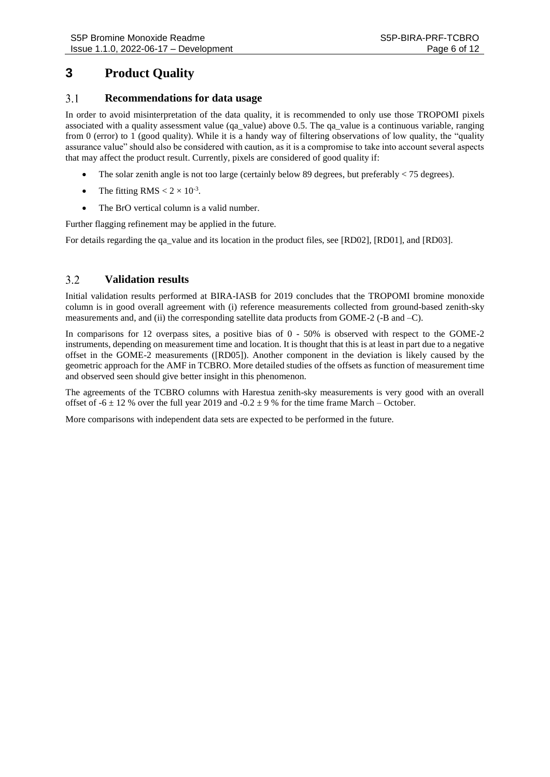### **3 Product Quality**

#### $3.1$ **Recommendations for data usage**

In order to avoid misinterpretation of the data quality, it is recommended to only use those TROPOMI pixels associated with a quality assessment value (qa\_value) above 0.5. The qa\_value is a continuous variable, ranging from 0 (error) to 1 (good quality). While it is a handy way of filtering observations of low quality, the "quality assurance value" should also be considered with caution, as it is a compromise to take into account several aspects that may affect the product result. Currently, pixels are considered of good quality if:

- The solar zenith angle is not too large (certainly below 89 degrees, but preferably  $\lt$  75 degrees).
- The fitting RMS  $< 2 \times 10^{-3}$ .
- The BrO vertical column is a valid number.

Further flagging refinement may be applied in the future.

For details regarding the qa\_value and its location in the product files, see [\[RD02\],](#page-10-1) [\[RD01\],](#page-10-2) and [\[RD03\].](#page-10-3)

#### $3.2$ **Validation results**

Initial validation results performed at BIRA-IASB for 2019 concludes that the TROPOMI bromine monoxide column is in good overall agreement with (i) reference measurements collected from ground-based zenith-sky measurements and, and (ii) the corresponding satellite data products from GOME-2 (-B and –C).

In comparisons for 12 overpass sites, a positive bias of 0 - 50% is observed with respect to the GOME-2 instruments, depending on measurement time and location. It is thought that this is at least in part due to a negative offset in the GOME-2 measurements [\(\[RD05\]\)](#page-10-0). Another component in the deviation is likely caused by the geometric approach for the AMF in TCBRO. More detailed studies of the offsets as function of measurement time and observed seen should give better insight in this phenomenon.

The agreements of the TCBRO columns with Harestua zenith-sky measurements is very good with an overall offset of  $-6 \pm 12$  % over the full year 2019 and  $-0.2 \pm 9$  % for the time frame March – October.

More comparisons with independent data sets are expected to be performed in the future.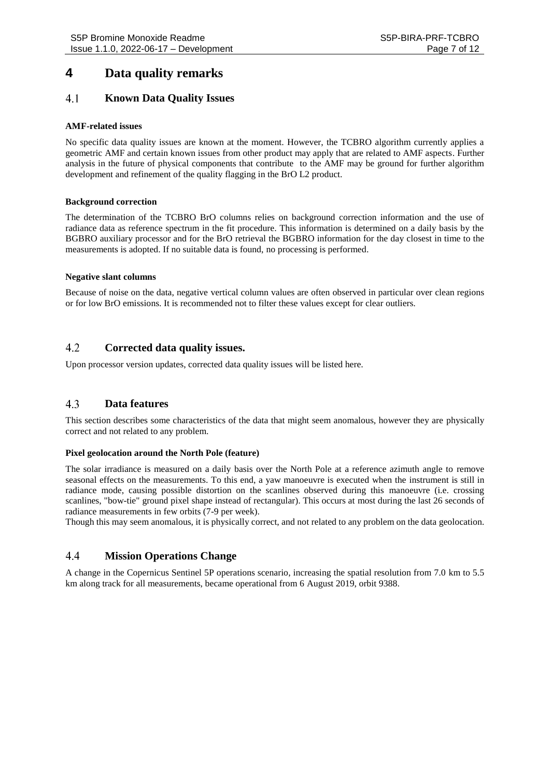### **4 Data quality remarks**

#### $4.1$ **Known Data Quality Issues**

### **AMF-related issues**

No specific data quality issues are known at the moment. However, the TCBRO algorithm currently applies a geometric AMF and certain known issues from other product may apply that are related to AMF aspects. Further analysis in the future of physical components that contribute to the AMF may be ground for further algorithm development and refinement of the quality flagging in the BrO L2 product.

### **Background correction**

The determination of the TCBRO BrO columns relies on background correction information and the use of radiance data as reference spectrum in the fit procedure. This information is determined on a daily basis by the BGBRO auxiliary processor and for the BrO retrieval the BGBRO information for the day closest in time to the measurements is adopted. If no suitable data is found, no processing is performed.

### **Negative slant columns**

Because of noise on the data, negative vertical column values are often observed in particular over clean regions or for low BrO emissions. It is recommended not to filter these values except for clear outliers.

#### $4.2$ **Corrected data quality issues.**

Upon processor version updates, corrected data quality issues will be listed here.

#### $4.3$ **Data features**

This section describes some characteristics of the data that might seem anomalous, however they are physically correct and not related to any problem.

### **Pixel geolocation around the North Pole (feature)**

The solar irradiance is measured on a daily basis over the North Pole at a reference azimuth angle to remove seasonal effects on the measurements. To this end, a yaw manoeuvre is executed when the instrument is still in radiance mode, causing possible distortion on the scanlines observed during this manoeuvre (i.e. crossing scanlines, "bow-tie" ground pixel shape instead of rectangular). This occurs at most during the last 26 seconds of radiance measurements in few orbits (7-9 per week).

Though this may seem anomalous, it is physically correct, and not related to any problem on the data geolocation.

#### 4.4 **Mission Operations Change**

A change in the Copernicus Sentinel 5P operations scenario, increasing the spatial resolution from 7.0 km to 5.5 km along track for all measurements, became operational from 6 August 2019, orbit 9388.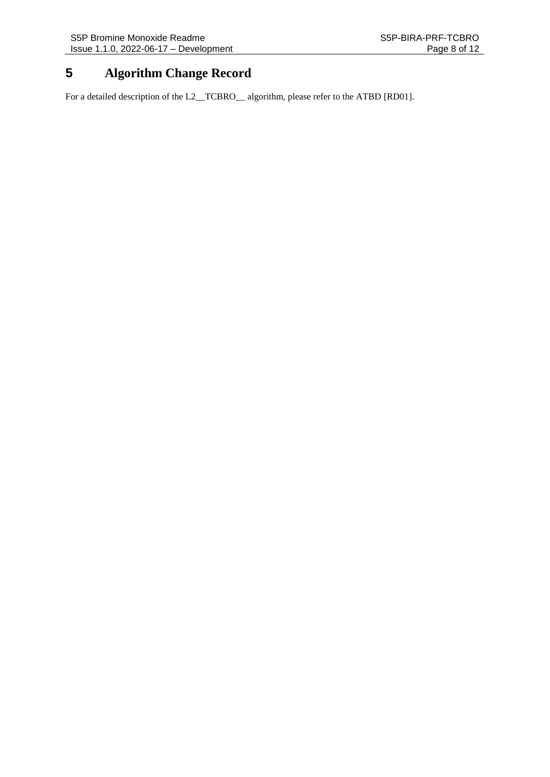# **5 Algorithm Change Record**

For a detailed description of the L2\_TCBRO\_\_ algorithm, please refer to the ATBD [\[RD01\].](#page-10-2)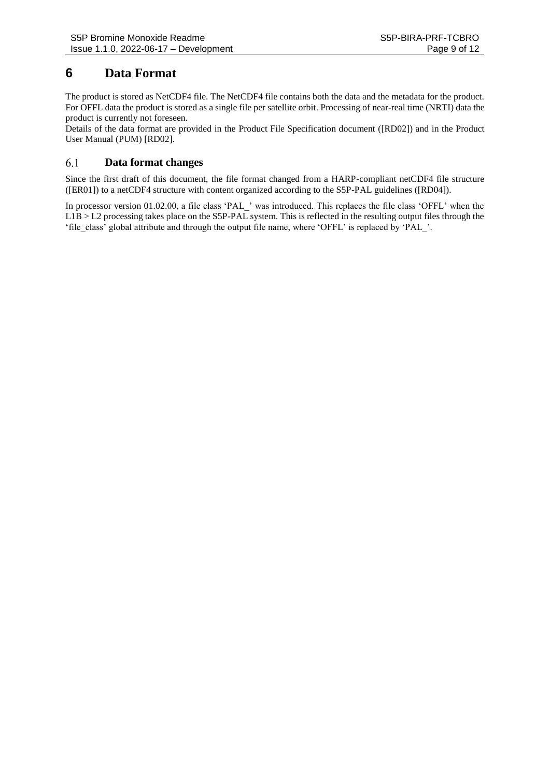### **6 Data Format**

The product is stored as NetCDF4 file. The NetCDF4 file contains both the data and the metadata for the product. For OFFL data the product is stored as a single file per satellite orbit. Processing of near-real time (NRTI) data the product is currently not foreseen.

Details of the data format are provided in the Product File Specification document [\(\[RD02\]\)](#page-10-1) and in the Product User Manual (PUM) [\[RD02\].](#page-10-1)

#### 6.1 **Data format changes**

Since the first draft of this document, the file format changed from a HARP-compliant netCDF4 file structure [\(\[ER01\]\)](#page-10-4) to a netCDF4 structure with content organized according to the S5P-PAL guidelines [\(\[RD04\]\)](#page-10-5).

In processor version 01.02.00, a file class 'PAL\_' was introduced. This replaces the file class 'OFFL' when the  $L1B > L2$  processing takes place on the S5P-PAL system. This is reflected in the resulting output files through the 'file\_class' global attribute and through the output file name, where 'OFFL' is replaced by 'PAL\_'.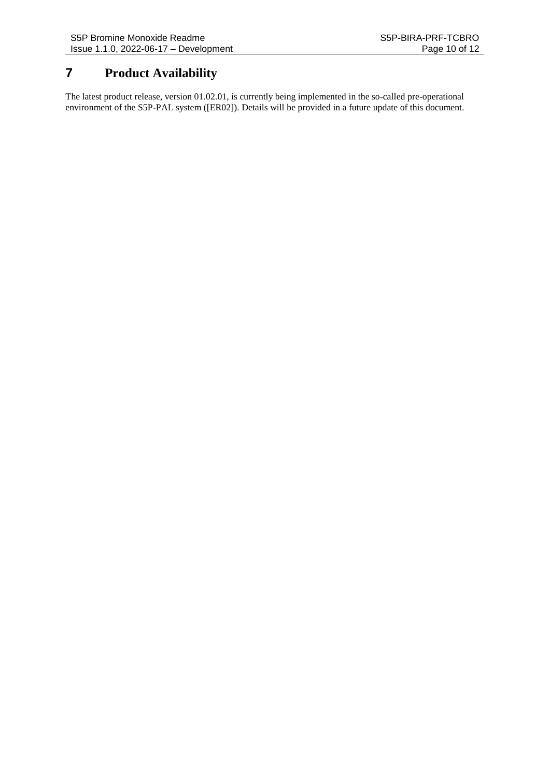### **7 Product Availability**

The latest product release, version 01.02.01, is currently being implemented in the so-called pre-operational environment of the S5P-PAL system [\(\[ER02\]\)](#page-10-6). Details will be provided in a future update of this document.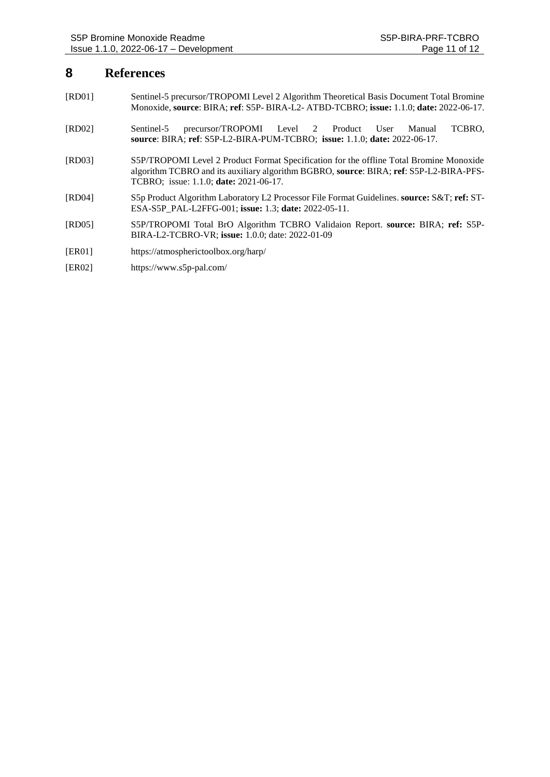### **8 References**

- <span id="page-10-2"></span>[RD01] Sentinel-5 precursor/TROPOMI Level 2 [Algorithm Theoretical](https://sentinels.copernicus.eu/documents/247904/2476257/Sentinel-5P-TROPOMI-ATBD-Total-Ozone) Basis Document Total Bromine Monoxide, **source**: BIRA; **ref**: S5P- BIRA-L2- ATBD-TCBRO; **issue:** 1.1.0; **date:** 2022-06-17.
- <span id="page-10-1"></span>[RD02] Sentinel-5 precursor/TROPOMI Level 2 [Product User Manual](https://sentinels.copernicus.eu/documents/247904/2474726/Sentinel-5P-Level-2-Product-User-Manual-Ozone-Total-Column) TCBRO, **source**: BIRA; **ref**: S5P-L2-BIRA-PUM-TCBRO; **issue:** 1.1.0; **date:** 2022-06-17.
- <span id="page-10-3"></span>[RD03] S5P/TROPOMI Level 2 Product Format Specification for the offline Total Bromine Monoxide algorithm TCBRO and its auxiliary algorithm BGBRO, **source**: BIRA; **ref**: S5P-L2-BIRA-PFS-TCBRO; issue: 1.1.0; **date:** 2021-06-17.
- <span id="page-10-5"></span>[RD04] S5p Product Algorithm Laboratory L2 Processor File Format Guidelines. **source:** S&T; **ref:** ST-ESA-S5P\_PAL-L2FFG-001; **issue:** 1.3; **date:** 2022-05-11.
- <span id="page-10-0"></span>[RD05] S5P/TROPOMI Total BrO Algorithm TCBRO Validaion Report. **source:** BIRA; **ref:** S5P-BIRA-L2-TCBRO-VR; **issue:** 1.0.0; date: 2022-01-09
- <span id="page-10-4"></span>[ER01] https://atmospherictoolbox.org/harp/
- <span id="page-10-6"></span>[ER02] https://www.s5p-pal.com/